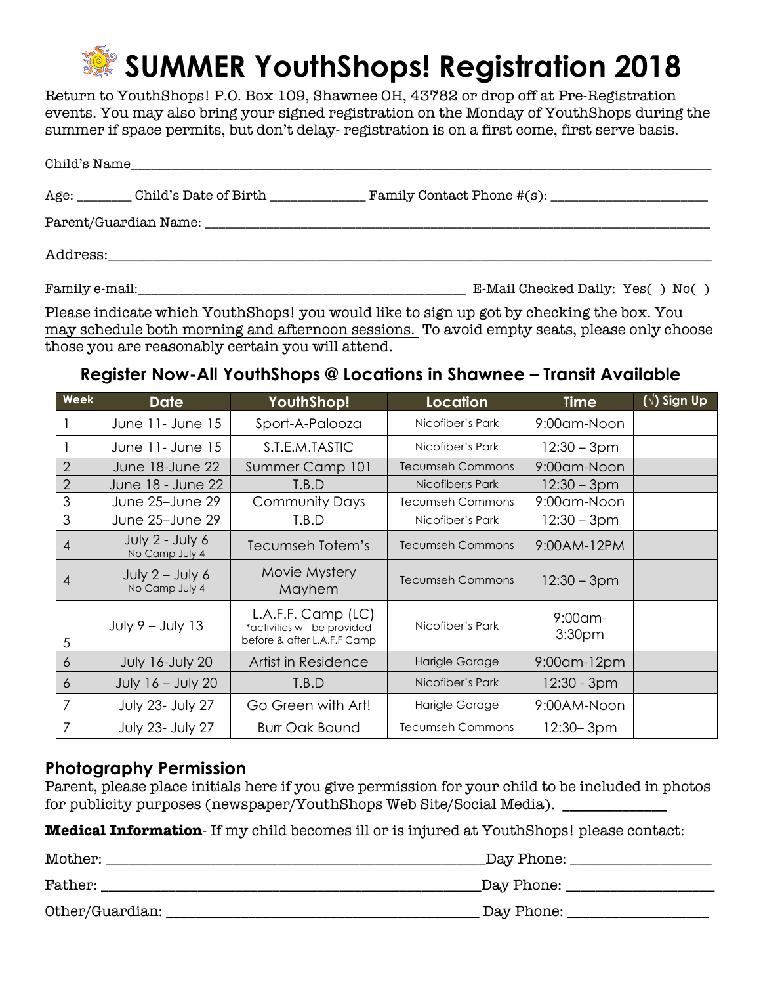# **SUMMER YouthShops! Registration 2018**

Return to YouthShops! P.O. Box 109, Shawnee OH, 43782 or drop off at Pre-Registration events. You may also bring your signed registration on the Monday of YouthShops during the summer if space permits, but don't delay- registration is on a first come, first serve basis.

| Child's Name |                                         |  |  |  |
|--------------|-----------------------------------------|--|--|--|
|              | Age: Child's Date of Birth ____________ |  |  |  |
|              |                                         |  |  |  |
|              |                                         |  |  |  |

Family e-mail: The mail: The mail: The mail: The mail: The mail Checked Daily: Yes( ) No( )

Please indicate which YouthShops! you would like to sign up got by checking the box. You may schedule both morning and afternoon sessions. To avoid empty seats, please only choose those you are reasonably certain you will attend.

## **Register Now-All YouthShops @ Locations in Shawnee – Transit Available**

| Week           | <b>Date</b>                         | <b>YouthShop!</b>                                                                 | Location                | <b>Time</b>                      | $(\sqrt{})$ Sign Up |
|----------------|-------------------------------------|-----------------------------------------------------------------------------------|-------------------------|----------------------------------|---------------------|
|                | June 11- June 15                    | Sport-A-Palooza                                                                   | Nicofiber's Park        | 9:00am-Noon                      |                     |
|                | June 11- June 15                    | S.T.E.M.TASTIC                                                                    | Nicofiber's Park        | 12:30 – 3pm                      |                     |
| $\overline{2}$ | June 18-June 22                     | Summer Camp 101                                                                   | <b>Tecumseh Commons</b> | 9:00am-Noon                      |                     |
| $\overline{2}$ | June 18 - June 22                   | T.B.D                                                                             | Nicofiber; Park         | $12:30 - 3pm$                    |                     |
| $\mathfrak{S}$ | June 25-June 29                     | <b>Community Days</b>                                                             | <b>Tecumseh Commons</b> | 9:00am-Noon                      |                     |
| 3              | June 25-June 29                     | T.B.D                                                                             | Nicofiber's Park        | 12:30 – 3pm                      |                     |
| $\overline{4}$ | July 2 - July 6<br>No Camp July 4   | Tecumseh Totem's                                                                  | <b>Tecumseh Commons</b> | 9:00AM-12PM                      |                     |
| 4              | July $2 -$ July 6<br>No Camp July 4 | Movie Mystery<br>Mayhem                                                           | <b>Tecumseh Commons</b> | $12:30 - 3pm$                    |                     |
| 5              | $July 9 - July 13$                  | L.A.F.F. Camp (LC)<br>*activities will be provided<br>before & after L.A.F.F Camp | Nicofiber's Park        | $9:00$ am-<br>3:30 <sub>pm</sub> |                     |
| 6              | <b>July 16-July 20</b>              | Artist in Residence                                                               | Harigle Garage          | 9:00am-12pm                      |                     |
| 6              | July 16 - July 20                   | T.B.D                                                                             | Nicofiber's Park        | $12:30 - 3pm$                    |                     |
| 7              | July 23- July 27                    | Go Green with Art!                                                                | Harigle Garage          | 9:00AM-Noon                      |                     |
| 7              | July 23- July 27                    | <b>Burr Oak Bound</b>                                                             | <b>Tecumseh Commons</b> | 12:30– 3pm                       |                     |

## **Photography Permission**

| Parent, please place initials here if you give permission for your child to be included in photos |  |
|---------------------------------------------------------------------------------------------------|--|
| for publicity purposes (newspaper/YouthShops Web Site/Social Media).                              |  |

**Medical Information**- If my child becomes ill or is injured at YouthShops! please contact:

| Mother:         | Day Phone:  |  |
|-----------------|-------------|--|
| Father:         | _Day Phone: |  |
| Other/Guardian: | Day Phone:  |  |